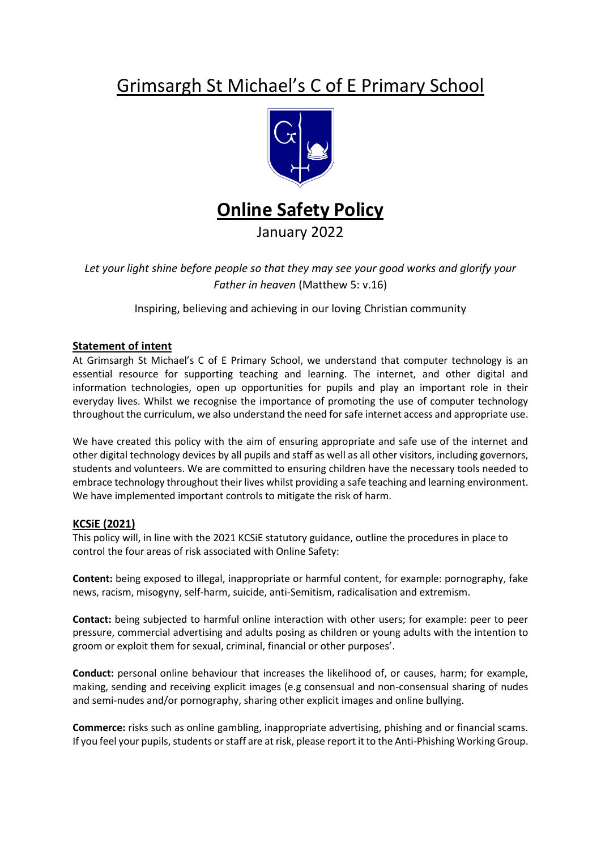# Grimsargh St Michael's C of E Primary School





January 2022

*Let your light shine before people so that they may see your good works and glorify your Father in heaven* (Matthew 5: v.16)

Inspiring, believing and achieving in our loving Christian community

## **Statement of intent**

At Grimsargh St Michael's C of E Primary School, we understand that computer technology is an essential resource for supporting teaching and learning. The internet, and other digital and information technologies, open up opportunities for pupils and play an important role in their everyday lives. Whilst we recognise the importance of promoting the use of computer technology throughout the curriculum, we also understand the need for safe internet access and appropriate use.

We have created this policy with the aim of ensuring appropriate and safe use of the internet and other digital technology devices by all pupils and staff as well as all other visitors, including governors, students and volunteers. We are committed to ensuring children have the necessary tools needed to embrace technology throughout their lives whilst providing a safe teaching and learning environment. We have implemented important controls to mitigate the risk of harm.

#### **KCSiE (2021)**

This policy will, in line with the 2021 KCSiE statutory guidance, outline the procedures in place to control the four areas of risk associated with Online Safety:

**Content:** being exposed to illegal, inappropriate or harmful content, for example: pornography, fake news, racism, misogyny, self-harm, suicide, anti-Semitism, radicalisation and extremism.

**Contact:** being subjected to harmful online interaction with other users; for example: peer to peer pressure, commercial advertising and adults posing as children or young adults with the intention to groom or exploit them for sexual, criminal, financial or other purposes'.

**Conduct:** personal online behaviour that increases the likelihood of, or causes, harm; for example, making, sending and receiving explicit images (e.g consensual and non-consensual sharing of nudes and semi-nudes and/or pornography, sharing other explicit images and online bullying.

**Commerce:** risks such as online gambling, inappropriate advertising, phishing and or financial scams. If you feel your pupils, students or staff are at risk, please report it to the Anti-Phishing Working Group.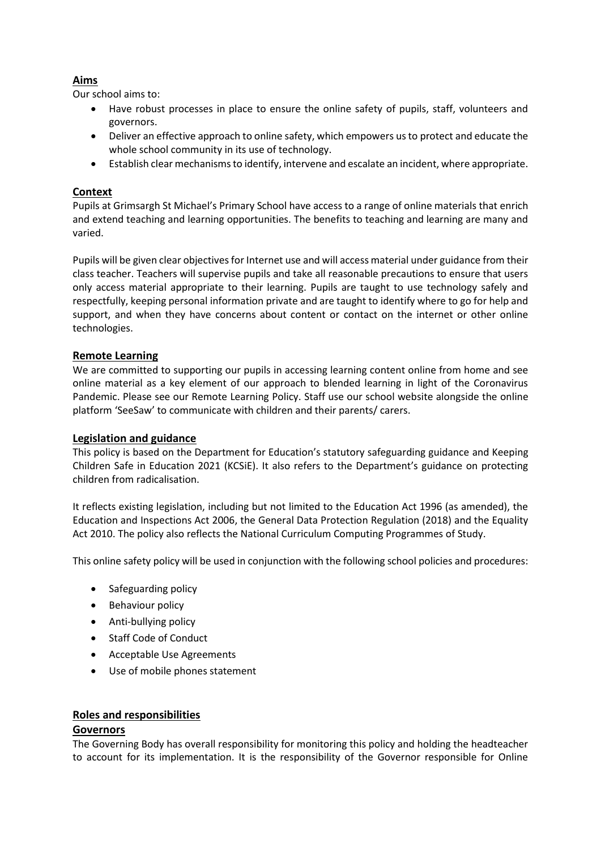# **Aims**

Our school aims to:

- Have robust processes in place to ensure the online safety of pupils, staff, volunteers and governors.
- Deliver an effective approach to online safety, which empowers us to protect and educate the whole school community in its use of technology.
- Establish clear mechanisms to identify, intervene and escalate an incident, where appropriate.

# **Context**

Pupils at Grimsargh St Michael's Primary School have access to a range of online materials that enrich and extend teaching and learning opportunities. The benefits to teaching and learning are many and varied.

Pupils will be given clear objectives for Internet use and will access material under guidance from their class teacher. Teachers will supervise pupils and take all reasonable precautions to ensure that users only access material appropriate to their learning. Pupils are taught to use technology safely and respectfully, keeping personal information private and are taught to identify where to go for help and support, and when they have concerns about content or contact on the internet or other online technologies.

#### **Remote Learning**

We are committed to supporting our pupils in accessing learning content online from home and see online material as a key element of our approach to blended learning in light of the Coronavirus Pandemic. Please see our Remote Learning Policy. Staff use our school website alongside the online platform 'SeeSaw' to communicate with children and their parents/ carers.

#### **Legislation and guidance**

This policy is based on the Department for Education's statutory safeguarding guidance and Keeping Children Safe in Education 2021 (KCSiE). It also refers to the Department's guidance on protecting children from radicalisation.

It reflects existing legislation, including but not limited to the Education Act 1996 (as amended), the Education and Inspections Act 2006, the General Data Protection Regulation (2018) and the Equality Act 2010. The policy also reflects the National Curriculum Computing Programmes of Study.

This online safety policy will be used in conjunction with the following school policies and procedures:

- Safeguarding policy
- Behaviour policy
- Anti-bullying policy
- Staff Code of Conduct
- Acceptable Use Agreements
- Use of mobile phones statement

# **Roles and responsibilities**

#### **Governors**

The Governing Body has overall responsibility for monitoring this policy and holding the headteacher to account for its implementation. It is the responsibility of the Governor responsible for Online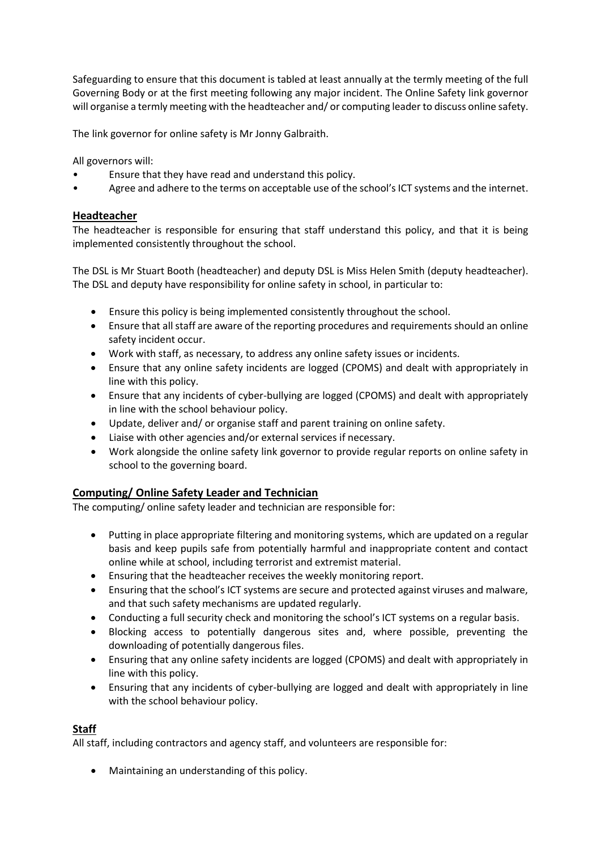Safeguarding to ensure that this document is tabled at least annually at the termly meeting of the full Governing Body or at the first meeting following any major incident. The Online Safety link governor will organise a termly meeting with the headteacher and/ or computing leader to discuss online safety.

The link governor for online safety is Mr Jonny Galbraith.

All governors will:

- Ensure that they have read and understand this policy.
- Agree and adhere to the terms on acceptable use of the school's ICT systems and the internet.

## **Headteacher**

The headteacher is responsible for ensuring that staff understand this policy, and that it is being implemented consistently throughout the school.

The DSL is Mr Stuart Booth (headteacher) and deputy DSL is Miss Helen Smith (deputy headteacher). The DSL and deputy have responsibility for online safety in school, in particular to:

- Ensure this policy is being implemented consistently throughout the school.
- Ensure that all staff are aware of the reporting procedures and requirements should an online safety incident occur.
- Work with staff, as necessary, to address any online safety issues or incidents.
- Ensure that any online safety incidents are logged (CPOMS) and dealt with appropriately in line with this policy.
- Ensure that any incidents of cyber-bullying are logged (CPOMS) and dealt with appropriately in line with the school behaviour policy.
- Update, deliver and/ or organise staff and parent training on online safety.
- Liaise with other agencies and/or external services if necessary.
- Work alongside the online safety link governor to provide regular reports on online safety in school to the governing board.

# **Computing/ Online Safety Leader and Technician**

The computing/ online safety leader and technician are responsible for:

- Putting in place appropriate filtering and monitoring systems, which are updated on a regular basis and keep pupils safe from potentially harmful and inappropriate content and contact online while at school, including terrorist and extremist material.
- Ensuring that the headteacher receives the weekly monitoring report.
- Ensuring that the school's ICT systems are secure and protected against viruses and malware, and that such safety mechanisms are updated regularly.
- Conducting a full security check and monitoring the school's ICT systems on a regular basis.
- Blocking access to potentially dangerous sites and, where possible, preventing the downloading of potentially dangerous files.
- Ensuring that any online safety incidents are logged (CPOMS) and dealt with appropriately in line with this policy.
- Ensuring that any incidents of cyber-bullying are logged and dealt with appropriately in line with the school behaviour policy.

#### **Staff**

All staff, including contractors and agency staff, and volunteers are responsible for:

• Maintaining an understanding of this policy.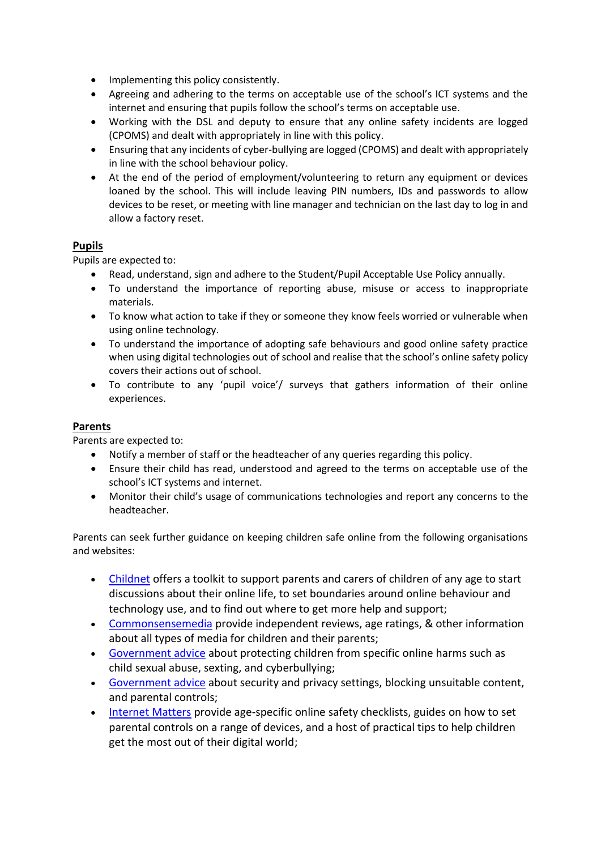- Implementing this policy consistently.
- Agreeing and adhering to the terms on acceptable use of the school's ICT systems and the internet and ensuring that pupils follow the school's terms on acceptable use.
- Working with the DSL and deputy to ensure that any online safety incidents are logged (CPOMS) and dealt with appropriately in line with this policy.
- Ensuring that any incidents of cyber-bullying are logged (CPOMS) and dealt with appropriately in line with the school behaviour policy.
- At the end of the period of employment/volunteering to return any equipment or devices loaned by the school. This will include leaving PIN numbers, IDs and passwords to allow devices to be reset, or meeting with line manager and technician on the last day to log in and allow a factory reset.

## **Pupils**

Pupils are expected to:

- Read, understand, sign and adhere to the Student/Pupil Acceptable Use Policy annually.
- To understand the importance of reporting abuse, misuse or access to inappropriate materials.
- To know what action to take if they or someone they know feels worried or vulnerable when using online technology.
- To understand the importance of adopting safe behaviours and good online safety practice when using digital technologies out of school and realise that the school's online safety policy covers their actions out of school.
- To contribute to any 'pupil voice'/ surveys that gathers information of their online experiences.

#### **Parents**

Parents are expected to:

- Notify a member of staff or the headteacher of any queries regarding this policy.
- Ensure their child has read, understood and agreed to the terms on acceptable use of the school's ICT systems and internet.
- Monitor their child's usage of communications technologies and report any concerns to the headteacher.

Parents can seek further guidance on keeping children safe online from the following organisations and websites:

- [Childnet](https://www.childnet.com/parents-and-carers/parent-and-carer-toolkit) offers a toolkit to support parents and carers of children of any age to start discussions about their online life, to set boundaries around online behaviour and technology use, and to find out where to get more help and support;
- [Commonsensemedia](http://www.commonsensemedia.org/) provide independent reviews, age ratings, & other information about all types of media for children and their parents;
- [Government advice](https://www.gov.uk/government/publications/coronavirus-covid-19-keeping-children-safe-online/coronavirus-covid-19-support-for-parents-and-carers-to-keep-children-safe-online) about protecting children from specific online harms such as child sexual abuse, sexting, and cyberbullying;
- [Government advice](https://www.gov.uk/coronavirus) about security and privacy settings, blocking unsuitable content, and parental controls;
- [Internet Matters](https://www.internetmatters.org/?gclid=EAIaIQobChMIktuA5LWK2wIVRYXVCh2afg2aEAAYASAAEgIJ5vD_BwE) provide age-specific online safety checklists, guides on how to set parental controls on a range of devices, and a host of practical tips to help children get the most out of their digital world;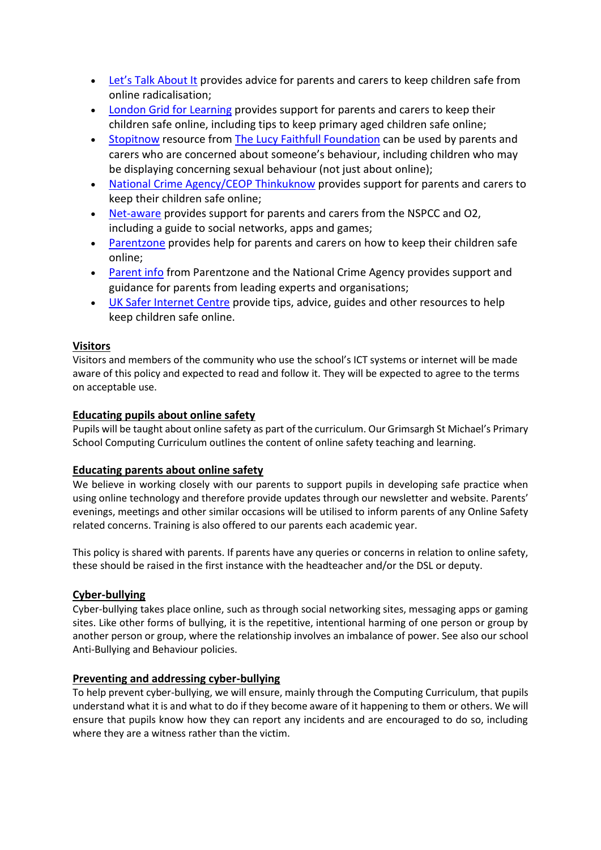- [Let's Talk About It](https://www.ltai.info/staying-safe-online/) provides advice for parents and carers to keep children safe from online radicalisation;
- [London Grid](http://www.lgfl.net/online-safety/) for Learning provides support for parents and carers to keep their children safe online, including tips to keep primary aged children safe online;
- [Stopitnow](https://www.stopitnow.org.uk/) resource from [The Lucy Faithfull Foundation](https://www.lucyfaithfull.org.uk/) can be used by parents and carers who are concerned about someone's behaviour, including children who may be displaying concerning sexual behaviour (not just about online);
- [National Crime Agency/CEOP Thinkuknow](http://www.thinkuknow.co.uk/) provides support for parents and carers to keep their children safe online;
- [Net-aware](https://www.net-aware.org.uk/) provides support for parents and carers from the NSPCC and O2, including a guide to social networks, apps and games;
- [Parentzone](https://parentzone.org.uk/) provides help for parents and carers on how to keep their children safe online;
- [Parent info](https://parentinfo.org/) from Parentzone and the National Crime Agency provides support and guidance for parents from leading experts and organisations;
- [UK Safer Internet Centre](https://www.saferinternet.org.uk/advice-centre/parents-and-carers) provide tips, advice, guides and other resources to help keep children safe online.

## **Visitors**

Visitors and members of the community who use the school's ICT systems or internet will be made aware of this policy and expected to read and follow it. They will be expected to agree to the terms on acceptable use.

#### **Educating pupils about online safety**

Pupils will be taught about online safety as part of the curriculum. Our Grimsargh St Michael's Primary School Computing Curriculum outlines the content of online safety teaching and learning.

#### **Educating parents about online safety**

We believe in working closely with our parents to support pupils in developing safe practice when using online technology and therefore provide updates through our newsletter and website. Parents' evenings, meetings and other similar occasions will be utilised to inform parents of any Online Safety related concerns. Training is also offered to our parents each academic year.

This policy is shared with parents. If parents have any queries or concerns in relation to online safety, these should be raised in the first instance with the headteacher and/or the DSL or deputy.

#### **Cyber-bullying**

Cyber-bullying takes place online, such as through social networking sites, messaging apps or gaming sites. Like other forms of bullying, it is the repetitive, intentional harming of one person or group by another person or group, where the relationship involves an imbalance of power. See also our school Anti-Bullying and Behaviour policies.

#### **Preventing and addressing cyber-bullying**

To help prevent cyber-bullying, we will ensure, mainly through the Computing Curriculum, that pupils understand what it is and what to do if they become aware of it happening to them or others. We will ensure that pupils know how they can report any incidents and are encouraged to do so, including where they are a witness rather than the victim.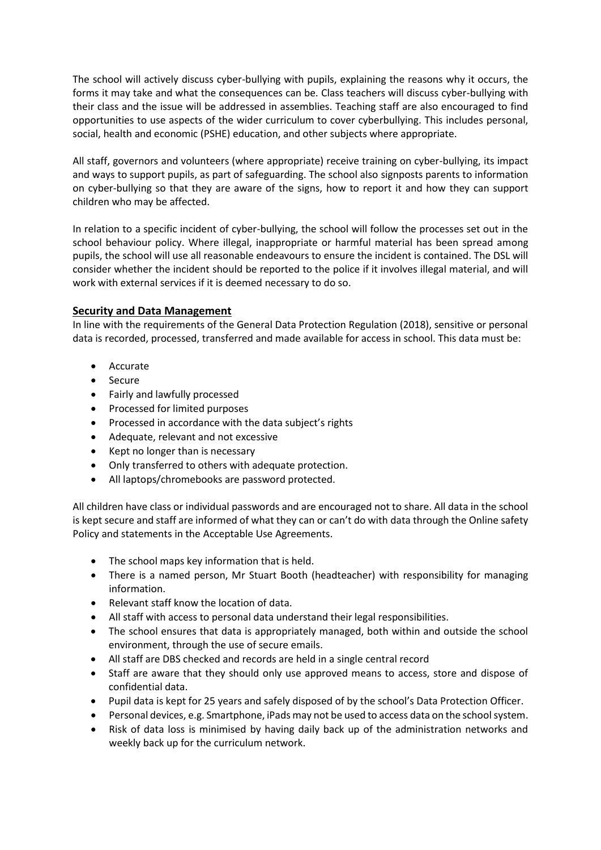The school will actively discuss cyber-bullying with pupils, explaining the reasons why it occurs, the forms it may take and what the consequences can be. Class teachers will discuss cyber-bullying with their class and the issue will be addressed in assemblies. Teaching staff are also encouraged to find opportunities to use aspects of the wider curriculum to cover cyberbullying. This includes personal, social, health and economic (PSHE) education, and other subjects where appropriate.

All staff, governors and volunteers (where appropriate) receive training on cyber-bullying, its impact and ways to support pupils, as part of safeguarding. The school also signposts parents to information on cyber-bullying so that they are aware of the signs, how to report it and how they can support children who may be affected.

In relation to a specific incident of cyber-bullying, the school will follow the processes set out in the school behaviour policy. Where illegal, inappropriate or harmful material has been spread among pupils, the school will use all reasonable endeavours to ensure the incident is contained. The DSL will consider whether the incident should be reported to the police if it involves illegal material, and will work with external services if it is deemed necessary to do so.

#### **Security and Data Management**

In line with the requirements of the General Data Protection Regulation (2018), sensitive or personal data is recorded, processed, transferred and made available for access in school. This data must be:

- Accurate
- Secure
- Fairly and lawfully processed
- Processed for limited purposes
- Processed in accordance with the data subject's rights
- Adequate, relevant and not excessive
- Kept no longer than is necessary
- Only transferred to others with adequate protection.
- All laptops/chromebooks are password protected.

All children have class or individual passwords and are encouraged not to share. All data in the school is kept secure and staff are informed of what they can or can't do with data through the Online safety Policy and statements in the Acceptable Use Agreements.

- The school maps key information that is held.
- There is a named person, Mr Stuart Booth (headteacher) with responsibility for managing information.
- Relevant staff know the location of data.
- All staff with access to personal data understand their legal responsibilities.
- The school ensures that data is appropriately managed, both within and outside the school environment, through the use of secure emails.
- All staff are DBS checked and records are held in a single central record
- Staff are aware that they should only use approved means to access, store and dispose of confidential data.
- Pupil data is kept for 25 years and safely disposed of by the school's Data Protection Officer.
- Personal devices, e.g. Smartphone, iPads may not be used to access data on the schoolsystem.
- Risk of data loss is minimised by having daily back up of the administration networks and weekly back up for the curriculum network.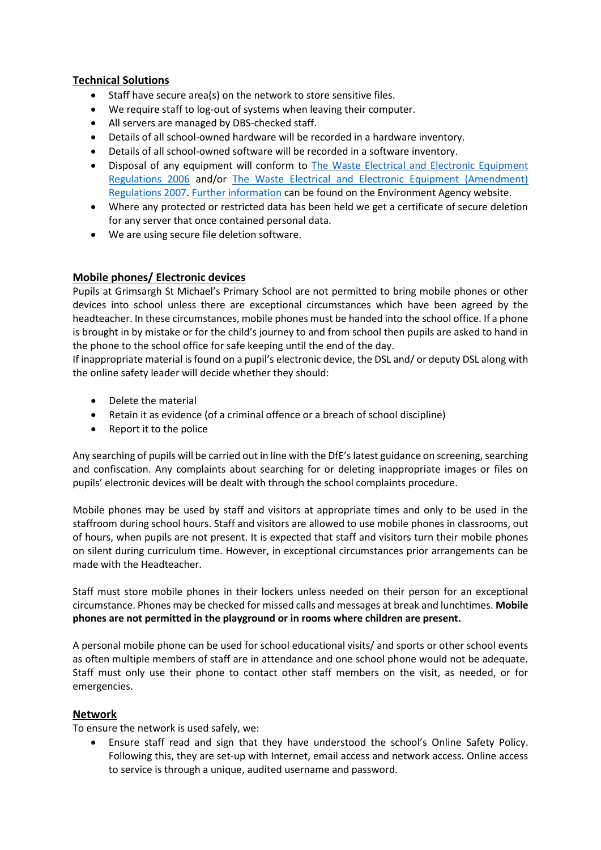## **Technical Solutions**

- Staff have secure area(s) on the network to store sensitive files.
- We require staff to log-out of systems when leaving their computer.
- All servers are managed by DBS-checked staff.
- Details of all school-owned hardware will be recorded in a hardware inventory.
- Details of all school-owned software will be recorded in a software inventory.
- Disposal of any equipment will conform to [The Waste Electrical and Electronic Equipment](http://www.legislation.gov.uk/uksi/2006/3289/pdfs/uksi_20063289_en.pdf)  [Regulations 2006](http://www.legislation.gov.uk/uksi/2006/3289/pdfs/uksi_20063289_en.pdf) and/or [The Waste Electrical and Electronic Equipment \(Amendment\)](http://www.legislation.gov.uk/uksi/2007/3454/pdfs/uksi_20073454_en.pdf)  [Regulations 2007.](http://www.legislation.gov.uk/uksi/2007/3454/pdfs/uksi_20073454_en.pdf) [Further information](http://www.environment-agency.gov.uk/business/topics/waste/32084.aspx) can be found on the Environment Agency website.
- Where any protected or restricted data has been held we get a certificate of secure deletion for any server that once contained personal data.
- We are using secure file deletion software.

#### **Mobile phones/ Electronic devices**

Pupils at Grimsargh St Michael's Primary School are not permitted to bring mobile phones or other devices into school unless there are exceptional circumstances which have been agreed by the headteacher. In these circumstances, mobile phones must be handed into the school office. If a phone is brought in by mistake or for the child's journey to and from school then pupils are asked to hand in the phone to the school office for safe keeping until the end of the day.

If inappropriate material is found on a pupil's electronic device, the DSL and/ or deputy DSL along with the online safety leader will decide whether they should:

- Delete the material
- Retain it as evidence (of a criminal offence or a breach of school discipline)
- Report it to the police

Any searching of pupils will be carried out in line with the DfE's latest guidance on screening, searching and confiscation. Any complaints about searching for or deleting inappropriate images or files on pupils' electronic devices will be dealt with through the school complaints procedure.

Mobile phones may be used by staff and visitors at appropriate times and only to be used in the staffroom during school hours. Staff and visitors are allowed to use mobile phones in classrooms, out of hours, when pupils are not present. It is expected that staff and visitors turn their mobile phones on silent during curriculum time. However, in exceptional circumstances prior arrangements can be made with the Headteacher.

Staff must store mobile phones in their lockers unless needed on their person for an exceptional circumstance. Phones may be checked for missed calls and messages at break and lunchtimes. **Mobile phones are not permitted in the playground or in rooms where children are present.**

A personal mobile phone can be used for school educational visits/ and sports or other school events as often multiple members of staff are in attendance and one school phone would not be adequate. Staff must only use their phone to contact other staff members on the visit, as needed, or for emergencies.

#### **Network**

To ensure the network is used safely, we:

• Ensure staff read and sign that they have understood the school's Online Safety Policy. Following this, they are set-up with Internet, email access and network access. Online access to service is through a unique, audited username and password.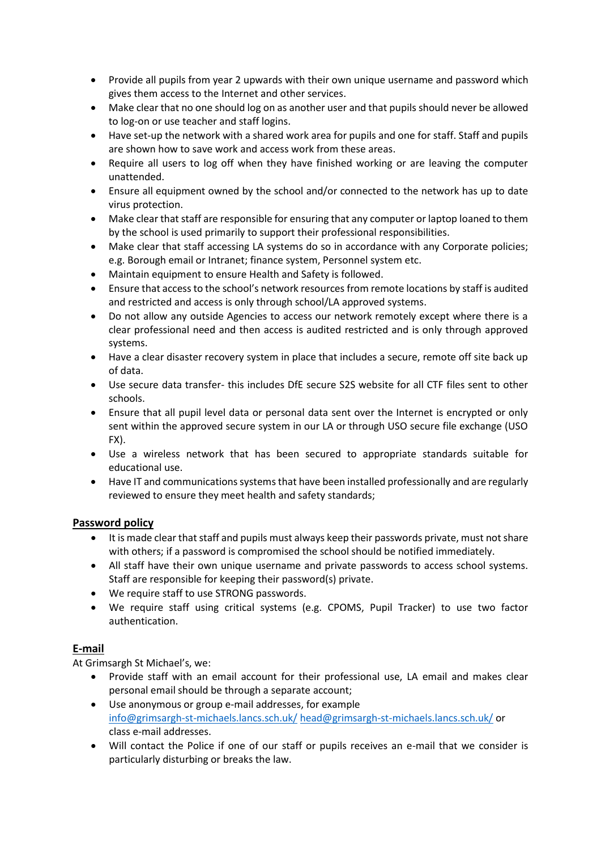- Provide all pupils from year 2 upwards with their own unique username and password which gives them access to the Internet and other services.
- Make clear that no one should log on as another user and that pupils should never be allowed to log-on or use teacher and staff logins.
- Have set-up the network with a shared work area for pupils and one for staff. Staff and pupils are shown how to save work and access work from these areas.
- Require all users to log off when they have finished working or are leaving the computer unattended.
- Ensure all equipment owned by the school and/or connected to the network has up to date virus protection.
- Make clear that staff are responsible for ensuring that any computer or laptop loaned to them by the school is used primarily to support their professional responsibilities.
- Make clear that staff accessing LA systems do so in accordance with any Corporate policies; e.g. Borough email or Intranet; finance system, Personnel system etc.
- Maintain equipment to ensure Health and Safety is followed.
- Ensure that access to the school's network resources from remote locations by staff is audited and restricted and access is only through school/LA approved systems.
- Do not allow any outside Agencies to access our network remotely except where there is a clear professional need and then access is audited restricted and is only through approved systems.
- Have a clear disaster recovery system in place that includes a secure, remote off site back up of data.
- Use secure data transfer- this includes DfE secure S2S website for all CTF files sent to other schools.
- Ensure that all pupil level data or personal data sent over the Internet is encrypted or only sent within the approved secure system in our LA or through USO secure file exchange (USO FX).
- Use a wireless network that has been secured to appropriate standards suitable for educational use.
- Have IT and communications systems that have been installed professionally and are regularly reviewed to ensure they meet health and safety standards;

# **Password policy**

- It is made clear that staff and pupils must always keep their passwords private, must not share with others; if a password is compromised the school should be notified immediately.
- All staff have their own unique username and private passwords to access school systems. Staff are responsible for keeping their password(s) private.
- We require staff to use STRONG passwords.
- We require staff using critical systems (e.g. CPOMS, Pupil Tracker) to use two factor authentication.

# **E-mail**

At Grimsargh St Michael's, we:

- Provide staff with an email account for their professional use, LA email and makes clear personal email should be through a separate account;
- Use anonymous or group e-mail addresses, for example [info@grimsargh-st-michaels.lancs.sch.uk/](mailto:info@grimsargh-st-michaels.lancs.sch.uk/) [head@grimsargh-st-michaels.lancs.sch.uk/](mailto:head@grimsargh-st-michaels.lancs.sch.uk/) or class e-mail addresses.
- Will contact the Police if one of our staff or pupils receives an e-mail that we consider is particularly disturbing or breaks the law.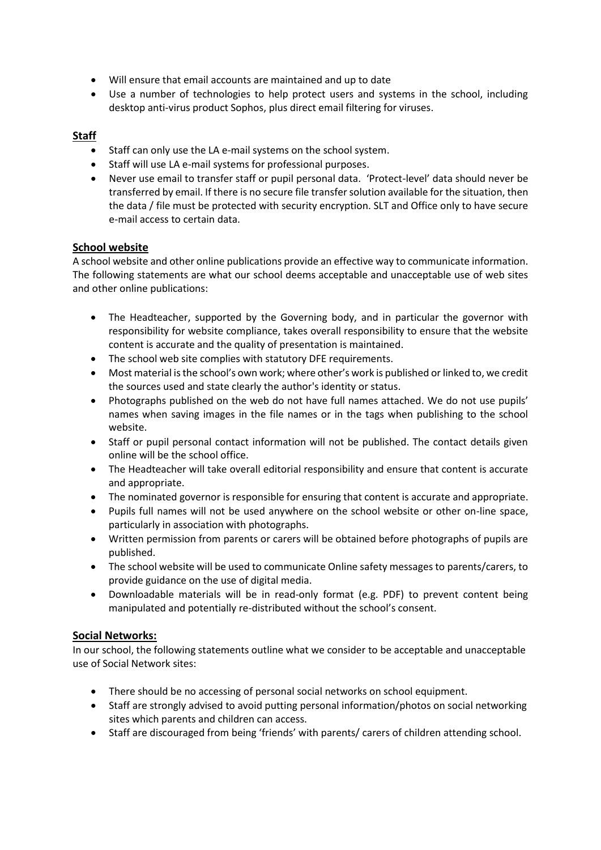- Will ensure that email accounts are maintained and up to date
- Use a number of technologies to help protect users and systems in the school, including desktop anti-virus product Sophos, plus direct email filtering for viruses.

# **Staff**

- Staff can only use the LA e-mail systems on the school system.
- Staff will use LA e-mail systems for professional purposes.
- Never use email to transfer staff or pupil personal data. 'Protect-level' data should never be transferred by email. If there is no secure file transfer solution available for the situation, then the data / file must be protected with security encryption. SLT and Office only to have secure e-mail access to certain data.

## **School website**

A school website and other online publications provide an effective way to communicate information. The following statements are what our school deems acceptable and unacceptable use of web sites and other online publications:

- The Headteacher, supported by the Governing body, and in particular the governor with responsibility for website compliance, takes overall responsibility to ensure that the website content is accurate and the quality of presentation is maintained.
- The school web site complies with statutory DFE requirements.
- Most material is the school's own work; where other's work is published or linked to, we credit the sources used and state clearly the author's identity or status.
- Photographs published on the web do not have full names attached. We do not use pupils' names when saving images in the file names or in the tags when publishing to the school website.
- Staff or pupil personal contact information will not be published. The contact details given online will be the school office.
- The Headteacher will take overall editorial responsibility and ensure that content is accurate and appropriate.
- The nominated governor is responsible for ensuring that content is accurate and appropriate.
- Pupils full names will not be used anywhere on the school website or other on-line space, particularly in association with photographs.
- Written permission from parents or carers will be obtained before photographs of pupils are published.
- The school website will be used to communicate Online safety messages to parents/carers, to provide guidance on the use of digital media.
- Downloadable materials will be in read-only format (e.g. PDF) to prevent content being manipulated and potentially re-distributed without the school's consent.

#### **Social Networks:**

In our school, the following statements outline what we consider to be acceptable and unacceptable use of Social Network sites:

- There should be no accessing of personal social networks on school equipment.
- Staff are strongly advised to avoid putting personal information/photos on social networking sites which parents and children can access.
- Staff are discouraged from being 'friends' with parents/ carers of children attending school.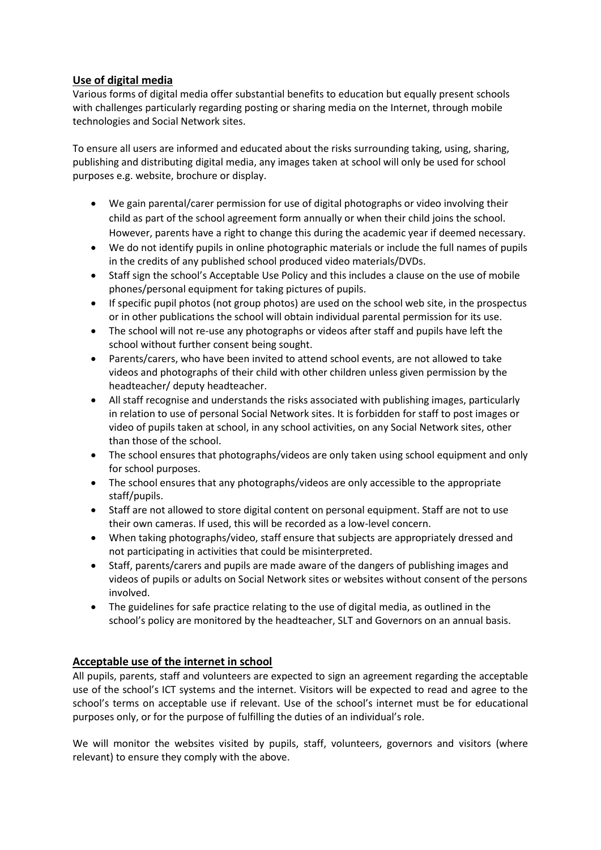# **Use of digital media**

Various forms of digital media offer substantial benefits to education but equally present schools with challenges particularly regarding posting or sharing media on the Internet, through mobile technologies and Social Network sites.

To ensure all users are informed and educated about the risks surrounding taking, using, sharing, publishing and distributing digital media, any images taken at school will only be used for school purposes e.g. website, brochure or display.

- We gain parental/carer permission for use of digital photographs or video involving their child as part of the school agreement form annually or when their child joins the school. However, parents have a right to change this during the academic year if deemed necessary.
- We do not identify pupils in online photographic materials or include the full names of pupils in the credits of any published school produced video materials/DVDs.
- Staff sign the school's Acceptable Use Policy and this includes a clause on the use of mobile phones/personal equipment for taking pictures of pupils.
- If specific pupil photos (not group photos) are used on the school web site, in the prospectus or in other publications the school will obtain individual parental permission for its use.
- The school will not re-use any photographs or videos after staff and pupils have left the school without further consent being sought.
- Parents/carers, who have been invited to attend school events, are not allowed to take videos and photographs of their child with other children unless given permission by the headteacher/ deputy headteacher.
- All staff recognise and understands the risks associated with publishing images, particularly in relation to use of personal Social Network sites. It is forbidden for staff to post images or video of pupils taken at school, in any school activities, on any Social Network sites, other than those of the school.
- The school ensures that photographs/videos are only taken using school equipment and only for school purposes.
- The school ensures that any photographs/videos are only accessible to the appropriate staff/pupils.
- Staff are not allowed to store digital content on personal equipment. Staff are not to use their own cameras. If used, this will be recorded as a low-level concern.
- When taking photographs/video, staff ensure that subjects are appropriately dressed and not participating in activities that could be misinterpreted.
- Staff, parents/carers and pupils are made aware of the dangers of publishing images and videos of pupils or adults on Social Network sites or websites without consent of the persons involved.
- The guidelines for safe practice relating to the use of digital media, as outlined in the school's policy are monitored by the headteacher, SLT and Governors on an annual basis.

#### **Acceptable use of the internet in school**

All pupils, parents, staff and volunteers are expected to sign an agreement regarding the acceptable use of the school's ICT systems and the internet. Visitors will be expected to read and agree to the school's terms on acceptable use if relevant. Use of the school's internet must be for educational purposes only, or for the purpose of fulfilling the duties of an individual's role.

We will monitor the websites visited by pupils, staff, volunteers, governors and visitors (where relevant) to ensure they comply with the above.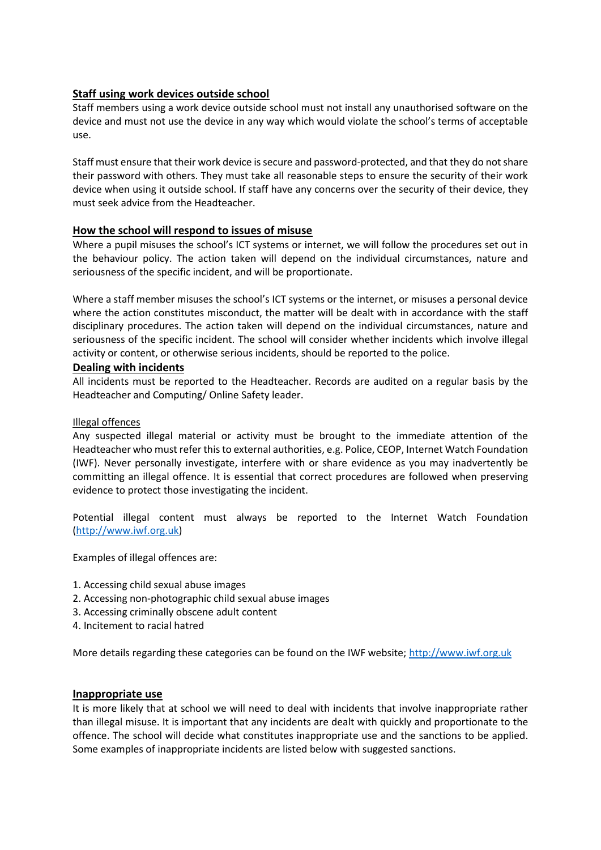#### **Staff using work devices outside school**

Staff members using a work device outside school must not install any unauthorised software on the device and must not use the device in any way which would violate the school's terms of acceptable use.

Staff must ensure that their work device is secure and password-protected, and that they do not share their password with others. They must take all reasonable steps to ensure the security of their work device when using it outside school. If staff have any concerns over the security of their device, they must seek advice from the Headteacher.

#### **How the school will respond to issues of misuse**

Where a pupil misuses the school's ICT systems or internet, we will follow the procedures set out in the behaviour policy. The action taken will depend on the individual circumstances, nature and seriousness of the specific incident, and will be proportionate.

Where a staff member misuses the school's ICT systems or the internet, or misuses a personal device where the action constitutes misconduct, the matter will be dealt with in accordance with the staff disciplinary procedures. The action taken will depend on the individual circumstances, nature and seriousness of the specific incident. The school will consider whether incidents which involve illegal activity or content, or otherwise serious incidents, should be reported to the police.

#### **Dealing with incidents**

All incidents must be reported to the Headteacher. Records are audited on a regular basis by the Headteacher and Computing/ Online Safety leader.

#### Illegal offences

Any suspected illegal material or activity must be brought to the immediate attention of the Headteacher who must refer this to external authorities, e.g. Police, CEOP, Internet Watch Foundation (IWF). Never personally investigate, interfere with or share evidence as you may inadvertently be committing an illegal offence. It is essential that correct procedures are followed when preserving evidence to protect those investigating the incident.

Potential illegal content must always be reported to the Internet Watch Foundation [\(http://www.iwf.org.uk\)](http://www.iwf.org.uk/)

Examples of illegal offences are:

- 1. Accessing child sexual abuse images
- 2. Accessing non-photographic child sexual abuse images
- 3. Accessing criminally obscene adult content
- 4. Incitement to racial hatred

More details regarding these categories can be found on the IWF website; [http://www.iwf.org.uk](http://www.iwf.org.uk/)

#### **Inappropriate use**

It is more likely that at school we will need to deal with incidents that involve inappropriate rather than illegal misuse. It is important that any incidents are dealt with quickly and proportionate to the offence. The school will decide what constitutes inappropriate use and the sanctions to be applied. Some examples of inappropriate incidents are listed below with suggested sanctions.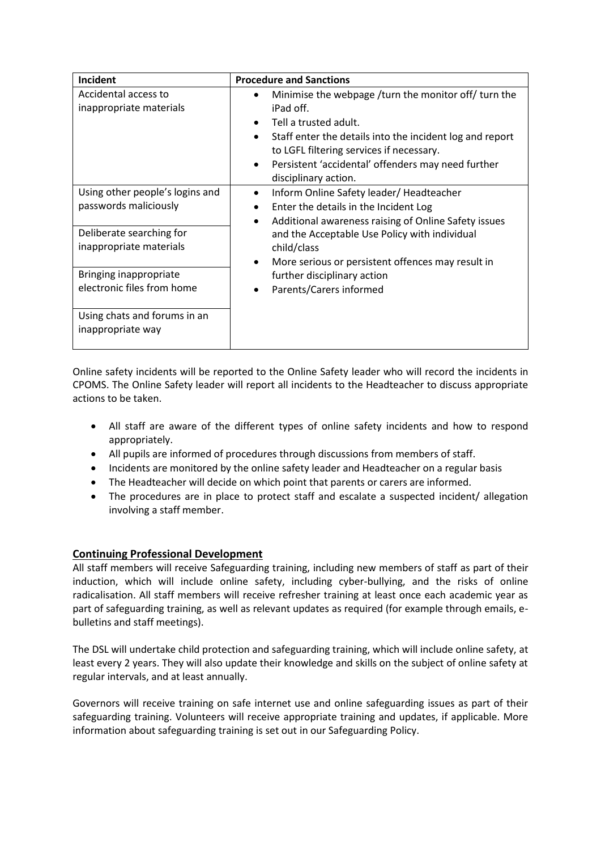| Incident                                                                                                                                                                                                                     | <b>Procedure and Sanctions</b>                                                                                                                                                                                                                                                                                                                         |
|------------------------------------------------------------------------------------------------------------------------------------------------------------------------------------------------------------------------------|--------------------------------------------------------------------------------------------------------------------------------------------------------------------------------------------------------------------------------------------------------------------------------------------------------------------------------------------------------|
| Accidental access to<br>inappropriate materials                                                                                                                                                                              | Minimise the webpage /turn the monitor off/ turn the<br>iPad off.<br>Tell a trusted adult.<br>Staff enter the details into the incident log and report<br>٠<br>to LGFL filtering services if necessary.<br>Persistent 'accidental' offenders may need further<br>٠<br>disciplinary action.                                                             |
| Using other people's logins and<br>passwords maliciously<br>Deliberate searching for<br>inappropriate materials<br>Bringing inappropriate<br>electronic files from home<br>Using chats and forums in an<br>inappropriate way | Inform Online Safety leader/Headteacher<br>$\bullet$<br>Enter the details in the Incident Log<br>Additional awareness raising of Online Safety issues<br>$\bullet$<br>and the Acceptable Use Policy with individual<br>child/class<br>More serious or persistent offences may result in<br>further disciplinary action<br>Parents/Carers informed<br>٠ |

Online safety incidents will be reported to the Online Safety leader who will record the incidents in CPOMS. The Online Safety leader will report all incidents to the Headteacher to discuss appropriate actions to be taken.

- All staff are aware of the different types of online safety incidents and how to respond appropriately.
- All pupils are informed of procedures through discussions from members of staff.
- Incidents are monitored by the online safety leader and Headteacher on a regular basis
- The Headteacher will decide on which point that parents or carers are informed.
- The procedures are in place to protect staff and escalate a suspected incident/ allegation involving a staff member.

#### **Continuing Professional Development**

All staff members will receive Safeguarding training, including new members of staff as part of their induction, which will include online safety, including cyber-bullying, and the risks of online radicalisation. All staff members will receive refresher training at least once each academic year as part of safeguarding training, as well as relevant updates as required (for example through emails, ebulletins and staff meetings).

The DSL will undertake child protection and safeguarding training, which will include online safety, at least every 2 years. They will also update their knowledge and skills on the subject of online safety at regular intervals, and at least annually.

Governors will receive training on safe internet use and online safeguarding issues as part of their safeguarding training. Volunteers will receive appropriate training and updates, if applicable. More information about safeguarding training is set out in our Safeguarding Policy.